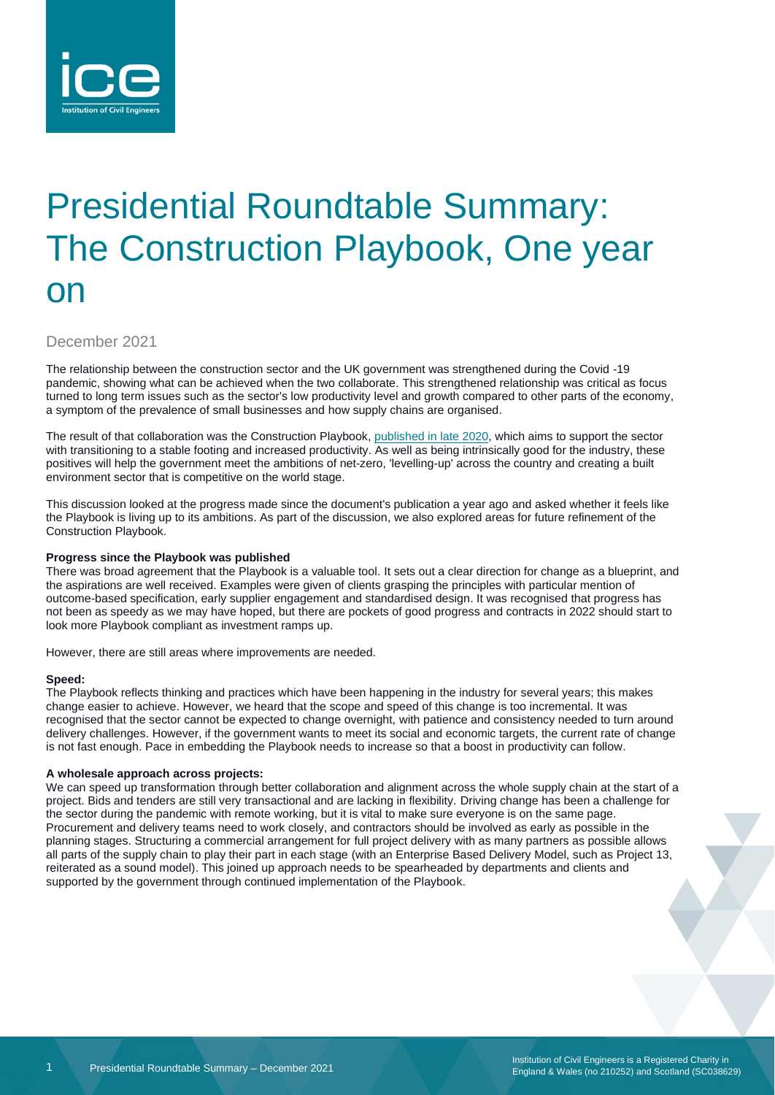

# Presidential Roundtable Summary: The Construction Playbook, One year on

December 2021

The relationship between the construction sector and the UK government was strengthened during the Covid -19 pandemic, showing what can be achieved when the two collaborate. This strengthened relationship was critical as focus turned to long term issues such as the sector's low productivity level and growth compared to other parts of the economy, a symptom of the prevalence of small businesses and how supply chains are organised.

The result of that collaboration was the Construction Playbook[, published in late](https://www.ice.org.uk/news-and-insight/the-infrastructure-blog/december-2020/why-the-new-construction-playbook-matters) 2020, which aims to support the sector with transitioning to a stable footing and increased productivity. As well as being intrinsically good for the industry, these positives will help the government meet the ambitions of net-zero, 'levelling-up' across the country and creating a built environment sector that is competitive on the world stage.

This discussion looked at the progress made since the document's publication a year ago and asked whether it feels like the Playbook is living up to its ambitions. As part of the discussion, we also explored areas for future refinement of the Construction Playbook.

#### **Progress since the Playbook was published**

There was broad agreement that the Playbook is a valuable tool. It sets out a clear direction for change as a blueprint, and the aspirations are well received. Examples were given of clients grasping the principles with particular mention of outcome-based specification, early supplier engagement and standardised design. It was recognised that progress has not been as speedy as we may have hoped, but there are pockets of good progress and contracts in 2022 should start to look more Playbook compliant as investment ramps up.

However, there are still areas where improvements are needed.

#### **Speed:**

The Playbook reflects thinking and practices which have been happening in the industry for several years; this makes change easier to achieve. However, we heard that the scope and speed of this change is too incremental. It was recognised that the sector cannot be expected to change overnight, with patience and consistency needed to turn around delivery challenges. However, if the government wants to meet its social and economic targets, the current rate of change is not fast enough. Pace in embedding the Playbook needs to increase so that a boost in productivity can follow.

### **A wholesale approach across projects:**

We can speed up transformation through better collaboration and alignment across the whole supply chain at the start of a project. Bids and tenders are still very transactional and are lacking in flexibility. Driving change has been a challenge for the sector during the pandemic with remote working, but it is vital to make sure everyone is on the same page. Procurement and delivery teams need to work closely, and contractors should be involved as early as possible in the planning stages. Structuring a commercial arrangement for full project delivery with as many partners as possible allows all parts of the supply chain to play their part in each stage (with an Enterprise Based Delivery Model, such as Project 13, reiterated as a sound model). This joined up approach needs to be spearheaded by departments and clients and supported by the government through continued implementation of the Playbook.

Institution of Civil Engineers is a Registered Charity in England & Wales (no 210252) and Scotland (SC038629)